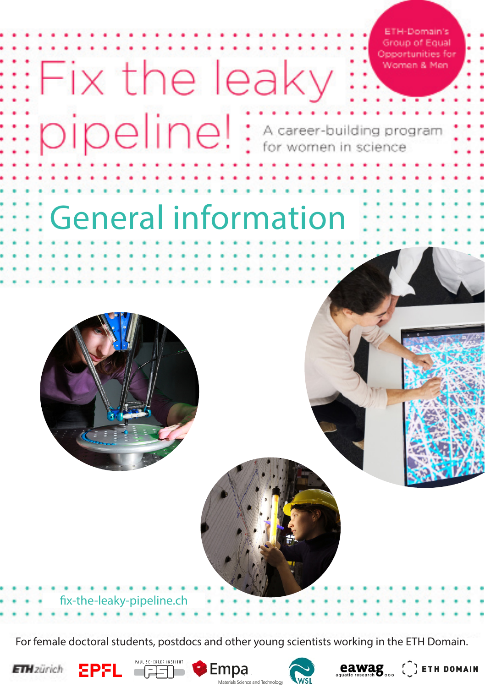ETH-Domain's **Group of Equal** Opportunities for Women & Men

# General information

: pipeline! : A career-building program

Fix the leaky



fix-the-leaky-pipeline.ch

For female doctoral students, postdocs and other young scientists working in the ETH Domain.









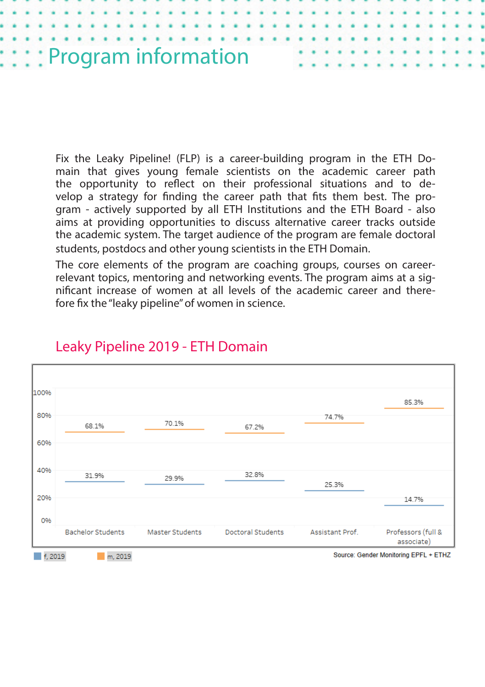

Fix the Leaky Pipeline! (FLP) is a career-building program in the ETH Domain that gives young female scientists on the academic career path the opportunity to reflect on their professional situations and to develop a strategy for finding the career path that fits them best. The program - actively supported by all ETH Institutions and the ETH Board - also aims at providing opportunities to discuss alternative career tracks outside the academic system. The target audience of the program are female doctoral students, postdocs and other young scientists in the ETH Domain.

The core elements of the program are coaching groups, courses on careerrelevant topics, mentoring and networking events. The program aims at a significant increase of women at all levels of the academic career and therefore fix the "leaky pipeline" of women in science.



# Leaky Pipeline 2019 - ETH Domain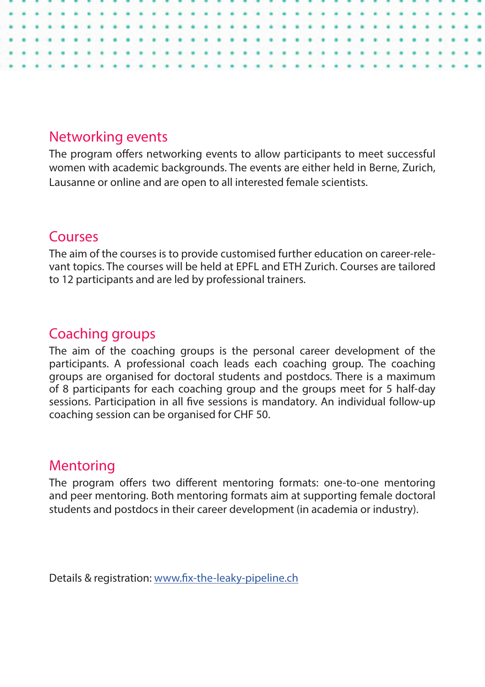# Networking events

The program offers networking events to allow participants to meet successful women with academic backgrounds. The events are either held in Berne, Zurich, Lausanne or online and are open to all interested female scientists.

# Courses

The aim of the courses is to provide customised further education on career-relevant topics. The courses will be held at EPFL and ETH Zurich. Courses are tailored to 12 participants and are led by professional trainers.

# Coaching groups

The aim of the coaching groups is the personal career development of the participants. A professional coach leads each coaching group. The coaching groups are organised for doctoral students and postdocs. There is a maximum of 8 participants for each coaching group and the groups meet for 5 half-day sessions. Participation in all five sessions is mandatory. An individual follow-up coaching session can be organised for CHF 50.

# Mentoring

The program offers two different mentoring formats: one-to-one mentoring and peer mentoring. Both mentoring formats aim at supporting female doctoral students and postdocs in their career development (in academia or industry).

Details & registration: [www.fix-the-leaky-pipeline.ch](Details & registration: www.fix-the-leaky-pipeline.ch/events)